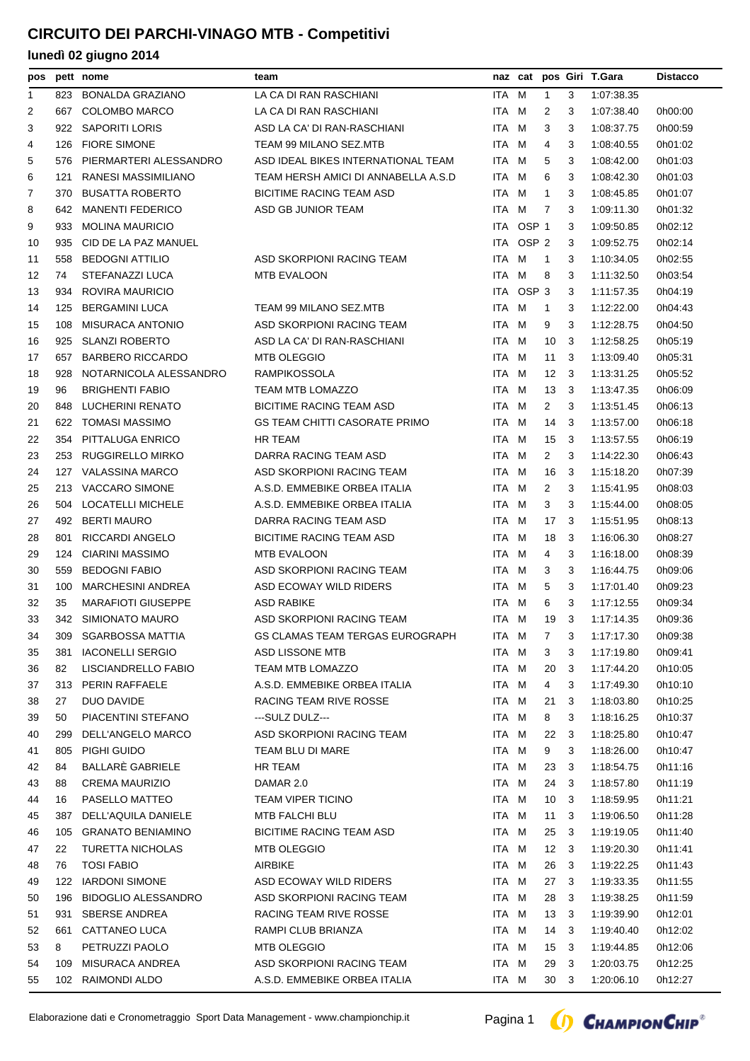| pos |     | pett nome                  | team                                 |       |                  |                 |                | naz cat pos Giri T.Gara | <b>Distacco</b> |
|-----|-----|----------------------------|--------------------------------------|-------|------------------|-----------------|----------------|-------------------------|-----------------|
| 1   | 823 | <b>BONALDA GRAZIANO</b>    | LA CA DI RAN RASCHIANI               | ITA M |                  | $\mathbf{1}$    | 3              | 1:07:38.35              |                 |
| 2   | 667 | <b>COLOMBO MARCO</b>       | LA CA DI RAN RASCHIANI               | ITA M |                  | 2               | 3              | 1:07:38.40              | 0h00:00         |
| 3   | 922 | <b>SAPORITI LORIS</b>      | ASD LA CA' DI RAN-RASCHIANI          | ITA M |                  | 3               | 3              | 1:08:37.75              | 0h00:59         |
| 4   | 126 | <b>FIORE SIMONE</b>        | TEAM 99 MILANO SEZ.MTB               | ITA M |                  | 4               | 3              | 1:08:40.55              | 0h01:02         |
| 5   | 576 | PIERMARTERI ALESSANDRO     | ASD IDEAL BIKES INTERNATIONAL TEAM   | ITA M |                  | 5               | 3              | 1:08:42.00              | 0h01:03         |
| 6   | 121 | RANESI MASSIMILIANO        | TEAM HERSH AMICI DI ANNABELLA A.S.D  | ITA M |                  | 6               | 3              | 1:08:42.30              | 0h01:03         |
| 7   | 370 | <b>BUSATTA ROBERTO</b>     | <b>BICITIME RACING TEAM ASD</b>      | ITA M |                  | $\mathbf{1}$    | 3              | 1:08:45.85              | 0h01:07         |
| 8   | 642 | <b>MANENTI FEDERICO</b>    | ASD GB JUNIOR TEAM                   | ITA M |                  | 7               | 3              | 1:09:11.30              | 0h01:32         |
| 9   | 933 | <b>MOLINA MAURICIO</b>     |                                      |       | ITA OSP 1        |                 | 3              | 1:09:50.85              | 0h02:12         |
| 10  | 935 | CID DE LA PAZ MANUEL       |                                      | ITA   | OSP <sub>2</sub> |                 | 3              | 1:09:52.75              | 0h02:14         |
| 11  | 558 | <b>BEDOGNI ATTILIO</b>     | ASD SKORPIONI RACING TEAM            | ITA M |                  | $\overline{1}$  | 3              | 1:10:34.05              | 0h02:55         |
| 12  | 74  | STEFANAZZI LUCA            | <b>MTB EVALOON</b>                   | ITA M |                  | 8               | 3              | 1:11:32.50              | 0h03:54         |
| 13  | 934 | ROVIRA MAURICIO            |                                      |       | ITA OSP 3        |                 | 3              | 1:11:57.35              | 0h04:19         |
| 14  | 125 | <b>BERGAMINI LUCA</b>      | TEAM 99 MILANO SEZ.MTB               | ITA M |                  | 1               | 3              | 1:12:22.00              | 0h04:43         |
| 15  | 108 | <b>MISURACA ANTONIO</b>    | ASD SKORPIONI RACING TEAM            | ITA   | M                | 9               | 3              | 1:12:28.75              | 0h04:50         |
| 16  | 925 | <b>SLANZI ROBERTO</b>      | ASD LA CA' DI RAN-RASCHIANI          | ITA M |                  | 10              | 3              | 1:12:58.25              | 0h05:19         |
| 17  | 657 | <b>BARBERO RICCARDO</b>    | <b>MTB OLEGGIO</b>                   | ITA M |                  | 11              | 3              | 1:13:09.40              | 0h05:31         |
| 18  | 928 | NOTARNICOLA ALESSANDRO     | RAMPIKOSSOLA                         | ITA M |                  | 12              | 3              | 1:13:31.25              | 0h05:52         |
| 19  | 96  | <b>BRIGHENTI FABIO</b>     | <b>TEAM MTB LOMAZZO</b>              | ITA M |                  | 13              | -3             | 1:13:47.35              | 0h06:09         |
| 20  | 848 | <b>LUCHERINI RENATO</b>    | <b>BICITIME RACING TEAM ASD</b>      | ITA M |                  | $\overline{2}$  | 3              | 1:13:51.45              | 0h06:13         |
| 21  | 622 | <b>TOMASI MASSIMO</b>      | <b>GS TEAM CHITTI CASORATE PRIMO</b> | ITA M |                  | 14              | 3              | 1:13:57.00              | 0h06:18         |
| 22  | 354 | PITTALUGA ENRICO           | <b>HR TEAM</b>                       | ITA M |                  | 15              | -3             | 1:13:57.55              | 0h06:19         |
| 23  | 253 | <b>RUGGIRELLO MIRKO</b>    | DARRA RACING TEAM ASD                | ITA M |                  | $\overline{2}$  | 3              | 1:14:22.30              | 0h06:43         |
| 24  | 127 | <b>VALASSINA MARCO</b>     | ASD SKORPIONI RACING TEAM            | ITA M |                  | 16              | 3              | 1:15:18.20              | 0h07:39         |
| 25  | 213 | <b>VACCARO SIMONE</b>      | A.S.D. EMMEBIKE ORBEA ITALIA         | ITA M |                  | 2               | 3              | 1:15:41.95              | 0h08:03         |
| 26  | 504 | <b>LOCATELLI MICHELE</b>   | A.S.D. EMMEBIKE ORBEA ITALIA         | ITA M |                  | 3               | 3              | 1:15:44.00              | 0h08:05         |
| 27  | 492 | <b>BERTI MAURO</b>         | DARRA RACING TEAM ASD                | ITA M |                  | 17              | 3              | 1:15:51.95              | 0h08:13         |
| 28  | 801 | <b>RICCARDI ANGELO</b>     | <b>BICITIME RACING TEAM ASD</b>      | ITA M |                  | 18              | 3              | 1:16:06.30              | 0h08:27         |
| 29  | 124 | <b>CIARINI MASSIMO</b>     | <b>MTB EVALOON</b>                   | ITA M |                  | 4               | 3              | 1:16:18.00              | 0h08:39         |
| 30  | 559 | <b>BEDOGNI FABIO</b>       | ASD SKORPIONI RACING TEAM            | ITA M |                  | 3               | 3              | 1:16:44.75              | 0h09:06         |
| 31  | 100 | <b>MARCHESINI ANDREA</b>   | ASD ECOWAY WILD RIDERS               | ITA M |                  | 5               | 3              | 1:17:01.40              | 0h09:23         |
| 32  | 35  | <b>MARAFIOTI GIUSEPPE</b>  | <b>ASD RABIKE</b>                    | ITA M |                  | 6               | 3              | 1:17:12.55              | 0h09:34         |
| 33  |     | 342 SIMIONATO MAURO        | ASD SKORPIONI RACING TEAM            | ITA M |                  | 19              | 3              | 1:17:14.35              | 0h09:36         |
| 34  |     | 309 SGARBOSSA MATTIA       | GS CLAMAS TEAM TERGAS EUROGRAPH      | ITA M |                  | 7 <sup>7</sup>  | 3 <sup>7</sup> | 1:17:17.30              | 0h09:38         |
| 35  | 381 | <b>IACONELLI SERGIO</b>    | ASD LISSONE MTB                      | ITA M |                  | 3               | 3              | 1:17:19.80              | 0h09:41         |
| 36  | 82  | LISCIANDRELLO FABIO        | TEAM MTB LOMAZZO                     | ITA M |                  | 20              | 3              | 1:17:44.20              | 0h10:05         |
| 37  | 313 | PERIN RAFFAELE             | A.S.D. EMMEBIKE ORBEA ITALIA         | ITA M |                  | 4               | 3              | 1:17:49.30              | 0h10:10         |
| 38  | 27  | DUO DAVIDE                 | RACING TEAM RIVE ROSSE               | ITA M |                  | 21              | 3              | 1:18:03.80              | 0h10:25         |
| 39  | 50  | PIACENTINI STEFANO         | ---SULZ DULZ---                      | ITA M |                  | 8               | 3              | 1:18:16.25              | 0h10:37         |
| 40  | 299 | DELL'ANGELO MARCO          | ASD SKORPIONI RACING TEAM            | ITA M |                  | 22              | -3             | 1:18:25.80              | 0h10:47         |
| 41  | 805 | PIGHI GUIDO                | TEAM BLU DI MARE                     | ITA M |                  | 9               | 3              | 1:18:26.00              | 0h10:47         |
| 42  | 84  | BALLARÈ GABRIELE           | HR TEAM                              | ITA M |                  | 23              | 3              | 1:18:54.75              | 0h11:16         |
| 43  | 88  | <b>CREMA MAURIZIO</b>      | DAMAR 2.0                            | ITA M |                  | 24              | - 3            | 1:18:57.80              | 0h11:19         |
| 44  | 16  | PASELLO MATTEO             | <b>TEAM VIPER TICINO</b>             | ITA M |                  | 10              | 3              | 1:18:59.95              | 0h11:21         |
| 45  | 387 | DELL'AQUILA DANIELE        | <b>MTB FALCHI BLU</b>                | ITA M |                  | 11              | 3              | 1:19:06.50              | 0h11:28         |
| 46  | 105 | <b>GRANATO BENIAMINO</b>   | <b>BICITIME RACING TEAM ASD</b>      | ITA M |                  | 25              | - 3            | 1:19:19.05              | 0h11:40         |
| 47  | 22  | TURETTA NICHOLAS           | <b>MTB OLEGGIO</b>                   | ITA M |                  | 12              | -3             | 1:19:20.30              | 0h11:41         |
| 48  | 76  | <b>TOSI FABIO</b>          | AIRBIKE                              | ITA M |                  | 26              | 3              | 1:19:22.25              | 0h11:43         |
| 49  | 122 | <b>IARDONI SIMONE</b>      | ASD ECOWAY WILD RIDERS               | ITA M |                  | 27              | 3              | 1:19:33.35              | 0h11:55         |
| 50  | 196 | <b>BIDOGLIO ALESSANDRO</b> | ASD SKORPIONI RACING TEAM            | ITA M |                  | 28              | 3              | 1:19:38.25              | 0h11:59         |
| 51  | 931 | <b>SBERSE ANDREA</b>       | RACING TEAM RIVE ROSSE               | ITA M |                  | 13              | - 3            | 1:19:39.90              | 0h12:01         |
| 52  |     | 661 CATTANEO LUCA          | RAMPI CLUB BRIANZA                   | ITA M |                  | 14 3            |                | 1:19:40.40              | 0h12:02         |
| 53  | 8   | PETRUZZI PAOLO             | MTB OLEGGIO                          | ITA M |                  | 15              | 3              | 1:19:44.85              | 0h12:06         |
| 54  | 109 | MISURACA ANDREA            | ASD SKORPIONI RACING TEAM            | ITA M |                  | 29              | 3              | 1:20:03.75              | 0h12:25         |
| 55  |     | 102 RAIMONDI ALDO          | A.S.D. EMMEBIKE ORBEA ITALIA         | ITA M |                  | 30 <sub>3</sub> |                | 1:20:06.10              | 0h12:27         |
|     |     |                            |                                      |       |                  |                 |                |                         |                 |

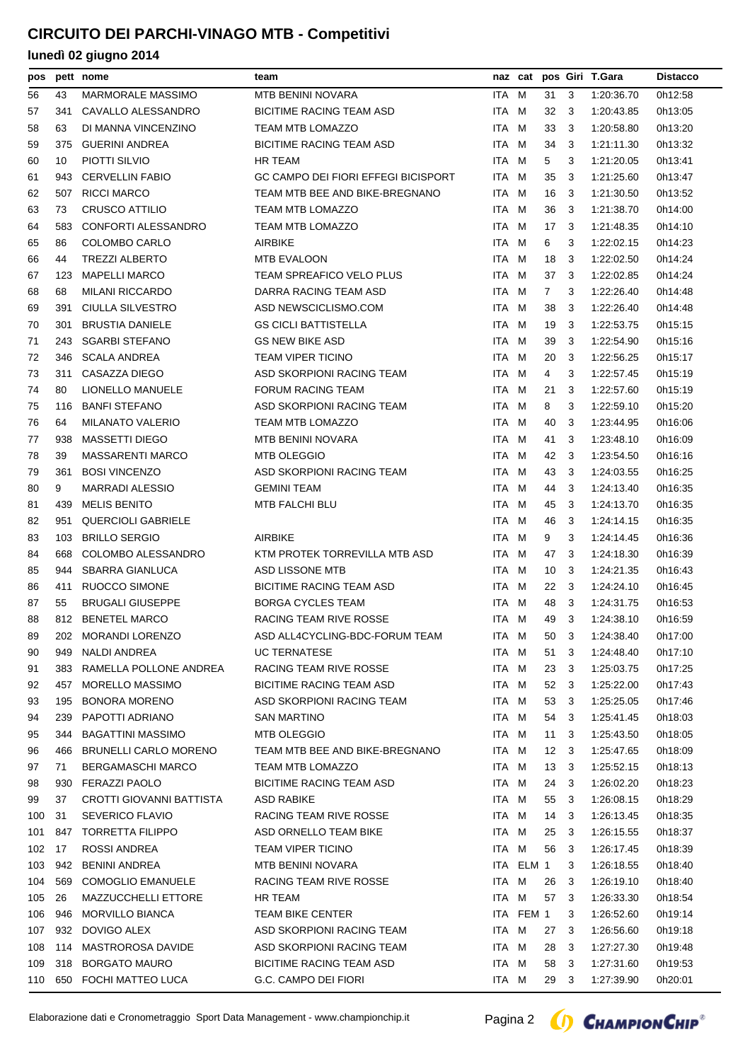| pos |     | pett nome                    | team                                       |       |           |                |     | naz cat pos Giri T.Gara | <b>Distacco</b> |
|-----|-----|------------------------------|--------------------------------------------|-------|-----------|----------------|-----|-------------------------|-----------------|
| 56  | 43  | <b>MARMORALE MASSIMO</b>     | MTB BENINI NOVARA                          | ITA M |           | 31             | 3   | 1:20:36.70              | 0h12:58         |
| 57  | 341 | CAVALLO ALESSANDRO           | <b>BICITIME RACING TEAM ASD</b>            | ITA M |           | 32             | 3   | 1:20:43.85              | 0h13:05         |
| 58  | 63  | DI MANNA VINCENZINO          | TEAM MTB LOMAZZO                           | ITA M |           | 33             | 3   | 1:20:58.80              | 0h13:20         |
| 59  | 375 | <b>GUERINI ANDREA</b>        | <b>BICITIME RACING TEAM ASD</b>            | ITA M |           | 34             | 3   | 1:21:11.30              | 0h13:32         |
| 60  | 10  | PIOTTI SILVIO                | <b>HR TEAM</b>                             | ITA M |           | 5              | 3   | 1:21:20.05              | 0h13:41         |
| 61  | 943 | <b>CERVELLIN FABIO</b>       | <b>GC CAMPO DEI FIORI EFFEGI BICISPORT</b> | ITA M |           | 35             | 3   | 1:21:25.60              | 0h13:47         |
| 62  | 507 | <b>RICCI MARCO</b>           | TEAM MTB BEE AND BIKE-BREGNANO             | ITA M |           | 16             | 3   | 1:21:30.50              | 0h13:52         |
| 63  | 73  | CRUSCO ATTILIO               | <b>TEAM MTB LOMAZZO</b>                    | ITA M |           | 36             | 3   | 1:21:38.70              | 0h14:00         |
| 64  | 583 | CONFORTI ALESSANDRO          | <b>TEAM MTB LOMAZZO</b>                    | ITA   | M         | 17             | -3  | 1:21:48.35              | 0h14:10         |
| 65  | 86  | <b>COLOMBO CARLO</b>         | <b>AIRBIKE</b>                             | ITA M |           | 6              | 3   | 1:22:02.15              | 0h14:23         |
| 66  | 44  | <b>TREZZI ALBERTO</b>        | <b>MTB EVALOON</b>                         | ITA M |           | 18             | 3   | 1:22:02.50              | 0h14:24         |
| 67  | 123 | <b>MAPELLI MARCO</b>         | <b>TEAM SPREAFICO VELO PLUS</b>            | ITA M |           | 37             | 3   | 1:22:02.85              | 0h14:24         |
| 68  | 68  | <b>MILANI RICCARDO</b>       | DARRA RACING TEAM ASD                      | ITA M |           | $\overline{7}$ | 3   | 1:22:26.40              | 0h14:48         |
| 69  | 391 | CIULLA SILVESTRO             | ASD NEWSCICLISMO.COM                       | ITA M |           | 38             | 3   | 1:22:26.40              | 0h14:48         |
| 70  | 301 | <b>BRUSTIA DANIELE</b>       | <b>GS CICLI BATTISTELLA</b>                | ITA.  | M         | 19             | 3   | 1:22:53.75              | 0h15:15         |
| 71  | 243 | <b>SGARBI STEFANO</b>        | <b>GS NEW BIKE ASD</b>                     | ITA M |           | 39             | 3   | 1:22:54.90              | 0h15:16         |
| 72  | 346 | <b>SCALA ANDREA</b>          | <b>TEAM VIPER TICINO</b>                   | ITA M |           | 20             | 3   | 1:22:56.25              | 0h15:17         |
| 73  | 311 | CASAZZA DIEGO                | ASD SKORPIONI RACING TEAM                  | ITA M |           | 4              | 3   | 1:22:57.45              | 0h15:19         |
| 74  | 80  | LIONELLO MANUELE             | <b>FORUM RACING TEAM</b>                   | ITA M |           | 21             | 3   | 1:22:57.60              | 0h15:19         |
| 75  | 116 | <b>BANFI STEFANO</b>         | ASD SKORPIONI RACING TEAM                  | ITA M |           | 8              | 3   | 1:22:59.10              | 0h15:20         |
| 76  | 64  | <b>MILANATO VALERIO</b>      | TEAM MTB LOMAZZO                           | ITA.  | M         | 40             | 3   | 1:23:44.95              | 0h16:06         |
| 77  | 938 | <b>MASSETTI DIEGO</b>        | <b>MTB BENINI NOVARA</b>                   | ITA M |           | 41             | 3   | 1:23:48.10              | 0h16:09         |
| 78  | 39  | <b>MASSARENTI MARCO</b>      | <b>MTB OLEGGIO</b>                         | ITA M |           | 42             | -3  | 1:23:54.50              | 0h16:16         |
| 79  | 361 | <b>BOSI VINCENZO</b>         | ASD SKORPIONI RACING TEAM                  | ITA M |           | 43             | 3   | 1:24:03.55              | 0h16:25         |
| 80  | 9   | <b>MARRADI ALESSIO</b>       | <b>GEMINI TEAM</b>                         | ITA M |           | 44             | 3   | 1:24:13.40              | 0h16:35         |
| 81  | 439 | <b>MELIS BENITO</b>          | MTB FALCHI BLU                             | ITA M |           | 45             | 3   | 1:24:13.70              | 0h16:35         |
|     |     | <b>QUERCIOLI GABRIELE</b>    |                                            | ITA   |           |                | 3   |                         | 0h16:35         |
| 82  | 951 |                              |                                            |       | м         | 46             |     | 1:24:14.15              |                 |
| 83  | 103 | <b>BRILLO SERGIO</b>         | <b>AIRBIKE</b>                             | ITA M |           | 9              | 3   | 1.24.14.45              | 0h16:36         |
| 84  | 668 | COLOMBO ALESSANDRO           | KTM PROTEK TORREVILLA MTB ASD              | ITA M |           | 47             | 3   | 1:24:18.30              | 0h16:39         |
| 85  | 944 | <b>SBARRA GIANLUCA</b>       | ASD LISSONE MTB                            | ITA M |           | 10             | 3   | 1:24:21.35              | 0h16:43         |
| 86  | 411 | <b>RUOCCO SIMONE</b>         | <b>BICITIME RACING TEAM ASD</b>            | ITA M |           | 22             | -3  | 1:24:24.10              | 0h16:45         |
| 87  | 55  | <b>BRUGALI GIUSEPPE</b>      | <b>BORGA CYCLES TEAM</b>                   | ITA M |           | 48             | -3  | 1:24:31.75              | 0h16:53         |
| 88  |     | 812 BENETEL MARCO            | RACING TEAM RIVE ROSSE                     | ITA M |           | 49             | -3  | 1:24:38.10              | 0h16.59         |
| 89  |     | 202 MORANDI LORENZO          | ASD ALL4CYCLING-BDC-FORUM TEAM             | ITA M |           |                |     | 50 3 1:24:38.40         | 0h17:00         |
| 90  | 949 | NALDI ANDREA                 | <b>UC TERNATESE</b>                        | ITA M |           | 51             | 3   | 1:24:48.40              | 0h17:10         |
| 91  | 383 | RAMELLA POLLONE ANDREA       | RACING TEAM RIVE ROSSE                     | ITA M |           | 23             | 3   | 1:25:03.75              | 0h17:25         |
| 92  | 457 | <b>MORELLO MASSIMO</b>       | <b>BICITIME RACING TEAM ASD</b>            | ITA M |           | 52             | - 3 | 1:25:22.00              | 0h17:43         |
| 93  | 195 | <b>BONORA MORENO</b>         | ASD SKORPIONI RACING TEAM                  | ITA M |           | 53             | -3  | 1:25:25.05              | 0h17:46         |
| 94  | 239 | PAPOTTI ADRIANO              | <b>SAN MARTINO</b>                         | ITA M |           | 54 3           |     | 1:25:41.45              | 0h18:03         |
| 95  | 344 | <b>BAGATTINI MASSIMO</b>     | <b>MTB OLEGGIO</b>                         | ITA M |           | 11             | - 3 | 1:25:43.50              | 0h18:05         |
| 96  | 466 | <b>BRUNELLI CARLO MORENO</b> | TEAM MTB BEE AND BIKE-BREGNANO             | ITA M |           | $12 \quad 3$   |     | 1:25:47.65              | 0h18:09         |
| 97  | 71  | <b>BERGAMASCHI MARCO</b>     | TEAM MTB LOMAZZO                           | ITA M |           | $13 \quad 3$   |     | 1:25:52.15              | 0h18:13         |
| 98  | 930 | FERAZZI PAOLO                | <b>BICITIME RACING TEAM ASD</b>            | ITA M |           | 24 3           |     | 1:26:02.20              | 0h18:23         |
| 99  | 37  | CROTTI GIOVANNI BATTISTA     | ASD RABIKE                                 | ITA M |           | 55             | - 3 | 1:26:08.15              | 0h18:29         |
| 100 | 31  | <b>SEVERICO FLAVIO</b>       | RACING TEAM RIVE ROSSE                     | ITA M |           | 14             | -3  | 1:26:13.45              | 0h18:35         |
| 101 | 847 | <b>TORRETTA FILIPPO</b>      | ASD ORNELLO TEAM BIKE                      | ITA M |           | 25             | - 3 | 1:26:15.55              | 0h18:37         |
| 102 | 17  | ROSSI ANDREA                 | <b>TEAM VIPER TICINO</b>                   | ITA M |           | 56             | 3   | 1:26:17.45              | 0h18:39         |
| 103 | 942 | <b>BENINI ANDREA</b>         | MTB BENINI NOVARA                          |       | ITA ELM 1 |                | 3   | 1:26:18.55              | 0h18:40         |
| 104 | 569 | COMOGLIO EMANUELE            | RACING TEAM RIVE ROSSE                     | ITA M |           | 26             | -3  | 1:26:19.10              | 0h18:40         |
| 105 | 26  | MAZZUCCHELLI ETTORE          | HR TEAM                                    | ITA M |           | 57             | -3  | 1:26:33.30              | 0h18:54         |
| 106 | 946 | <b>MORVILLO BIANCA</b>       | <b>TEAM BIKE CENTER</b>                    |       | ITA FEM 1 |                | 3   | 1:26:52.60              | 0h19:14         |
| 107 | 932 | DOVIGO ALEX                  | ASD SKORPIONI RACING TEAM                  | ITA M |           | 27             | -3  | 1:26:56.60              | 0h19:18         |
| 108 | 114 | MASTROROSA DAVIDE            | ASD SKORPIONI RACING TEAM                  | ITA M |           | 28             | 3   | 1:27:27.30              | 0h19:48         |
| 109 | 318 | <b>BORGATO MAURO</b>         | <b>BICITIME RACING TEAM ASD</b>            | ITA M |           | 58             | 3   | 1:27:31.60              | 0h19:53         |
| 110 |     | 650 FOCHI MATTEO LUCA        | G.C. CAMPO DEI FIORI                       | ITA M |           | 29 3           |     | 1:27:39.90              | 0h20:01         |

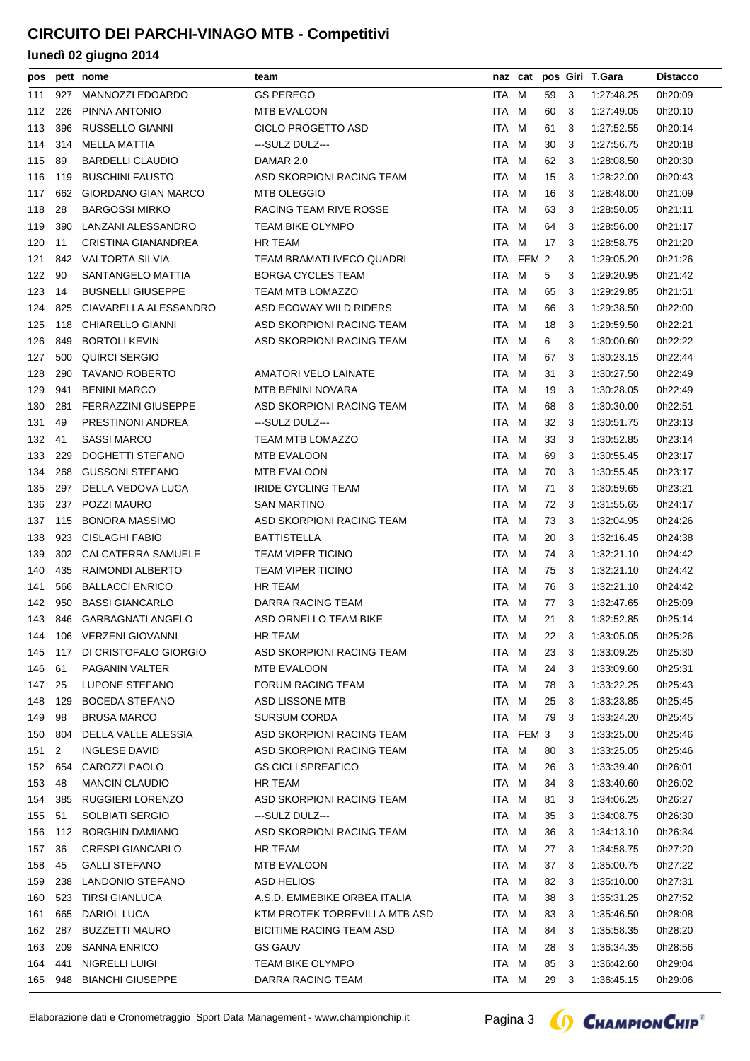| pos |     | pett nome                  | team                            |       |           |      |     | naz cat pos Giri T.Gara | <b>Distacco</b> |
|-----|-----|----------------------------|---------------------------------|-------|-----------|------|-----|-------------------------|-----------------|
| 111 | 927 | <b>MANNOZZI EDOARDO</b>    | <b>GS PEREGO</b>                | ITA M |           | 59   | 3   | 1:27:48.25              | 0h20:09         |
| 112 | 226 | PINNA ANTONIO              | <b>MTB EVALOON</b>              | ITA M |           | 60   | 3   | 1:27:49.05              | 0h20:10         |
| 113 | 396 | <b>RUSSELLO GIANNI</b>     | <b>CICLO PROGETTO ASD</b>       | ITA   | M         | 61   | 3   | 1:27:52.55              | 0h20:14         |
| 114 | 314 | MELLA MATTIA               | ---SULZ DULZ---                 | ITA M |           | 30   | 3   | 1.27:56.75              | 0h20:18         |
| 115 | 89  | <b>BARDELLI CLAUDIO</b>    | DAMAR 2.0                       | ITA M |           | 62   | 3   | 1:28:08.50              | 0h20:30         |
| 116 | 119 | <b>BUSCHINI FAUSTO</b>     | ASD SKORPIONI RACING TEAM       | ITA M |           | 15   | 3   | 1:28:22.00              | 0h20:43         |
| 117 | 662 | <b>GIORDANO GIAN MARCO</b> | <b>MTB OLEGGIO</b>              | ITA M |           | 16   | 3   | 1:28:48.00              | 0h21:09         |
| 118 | 28  | <b>BARGOSSI MIRKO</b>      | RACING TEAM RIVE ROSSE          | ITA M |           | 63   | -3  | 1:28:50.05              | 0h21:11         |
| 119 | 390 | LANZANI ALESSANDRO         | <b>TEAM BIKE OLYMPO</b>         | ITA   | M         | 64   | 3   | 1:28:56.00              | 0h21:17         |
| 120 | 11  | CRISTINA GIANANDREA        | HR TEAM                         | ITA M |           | 17   | 3   | 1:28:58.75              | 0h21:20         |
| 121 | 842 | <b>VALTORTA SILVIA</b>     | TEAM BRAMATI IVECO QUADRI       |       | ITA FEM 2 |      | 3   | 1:29:05.20              | 0h21:26         |
| 122 | 90  | SANTANGELO MATTIA          | <b>BORGA CYCLES TEAM</b>        | ITA M |           | 5    | 3   | 1:29:20.95              | 0h21:42         |
| 123 | 14  | <b>BUSNELLI GIUSEPPE</b>   | TEAM MTB LOMAZZO                | ITA M |           | 65   | 3   | 1:29:29.85              | 0h21:51         |
| 124 | 825 | CIAVARELLA ALESSANDRO      | ASD ECOWAY WILD RIDERS          | ITA M |           | 66   | 3   | 1:29:38.50              | 0h22:00         |
| 125 | 118 | <b>CHIARELLO GIANNI</b>    | ASD SKORPIONI RACING TEAM       | ITA M |           | 18   | 3   | 1:29:59.50              | 0h22:21         |
| 126 | 849 | <b>BORTOLI KEVIN</b>       | ASD SKORPIONI RACING TEAM       | ITA M |           | 6    | 3   | 1:30:00.60              | 0h22:22         |
| 127 | 500 | QUIRCI SERGIO              |                                 | ITA M |           | 67   | 3   | 1:30:23.15              | 0h22:44         |
| 128 | 290 | <b>TAVANO ROBERTO</b>      | <b>AMATORI VELO LAINATE</b>     | ITA M |           | 31   | 3   | 1:30:27.50              | 0h22:49         |
| 129 | 941 | <b>BENINI MARCO</b>        | <b>MTB BENINI NOVARA</b>        | ITA M |           | 19   | 3   | 1:30:28.05              | 0h22:49         |
| 130 | 281 | <b>FERRAZZINI GIUSEPPE</b> | ASD SKORPIONI RACING TEAM       | ITA M |           | 68   | -3  | 1:30:30.00              | 0h22:51         |
| 131 | 49  | PRESTINONI ANDREA          | ---SULZ DULZ---                 | ITA   | M         | 32   | 3   | 1:30:51.75              | 0h23:13         |
| 132 | 41  | <b>SASSI MARCO</b>         | <b>TEAM MTB LOMAZZO</b>         | ITA M |           | 33   | -3  | 1:30:52.85              | 0h23:14         |
| 133 | 229 | DOGHETTI STEFANO           | <b>MTB EVALOON</b>              | ITA M |           | 69   | -3  | 1:30:55.45              | 0h23:17         |
| 134 | 268 | <b>GUSSONI STEFANO</b>     | <b>MTB EVALOON</b>              | ITA M |           | 70   | 3   | 1:30:55.45              | 0h23:17         |
| 135 | 297 | DELLA VEDOVA LUCA          | <b>IRIDE CYCLING TEAM</b>       | ITA M |           | 71   | 3   | 1:30:59.65              | 0h23:21         |
| 136 | 237 | POZZI MAURO                | <b>SAN MARTINO</b>              | ITA M |           | 72   | -3  | 1:31:55.65              | 0h24:17         |
| 137 | 115 | <b>BONORA MASSIMO</b>      | ASD SKORPIONI RACING TEAM       | ITA M |           | 73   | 3   | 1:32:04.95              | 0h24:26         |
| 138 | 923 | <b>CISLAGHI FABIO</b>      | <b>BATTISTELLA</b>              | ITA M |           | 20   | 3   | 1:32:16.45              | 0h24:38         |
| 139 | 302 | CALCATERRA SAMUELE         | <b>TEAM VIPER TICINO</b>        | ITA M |           | 74   | -3  | 1:32:21.10              | 0h24:42         |
| 140 | 435 | RAIMONDI ALBERTO           | <b>TEAM VIPER TICINO</b>        | ITA M |           | 75   | 3   | 1:32:21.10              | 0h24:42         |
| 141 | 566 | <b>BALLACCI ENRICO</b>     | <b>HR TEAM</b>                  | ITA M |           | 76   | 3   | 1:32:21.10              | 0h24:42         |
| 142 | 950 | <b>BASSI GIANCARLO</b>     | DARRA RACING TEAM               | ITA M |           | 77   | 3   | 1:32:47.65              | 0h25:09         |
| 143 | 846 | <b>GARBAGNATI ANGELO</b>   | ASD ORNELLO TEAM BIKE           | ITA M |           | 21   | 3   | 1:32:52.85              | 0h25:14         |
| 144 |     | 106 VERZENI GIOVANNI       | HR TEAM                         | ITA M |           |      |     | 22 3 1:33:05.05         | 0h25:26         |
| 145 |     | 117 DI CRISTOFALO GIORGIO  | ASD SKORPIONI RACING TEAM       | ITA M |           | 23   | - 3 | 1:33:09.25              | 0h25:30         |
| 146 | 61  | PAGANIN VALTER             | MTB EVALOON                     | ITA M |           | 24   | 3   | 1:33:09.60              | 0h25:31         |
| 147 | 25  | LUPONE STEFANO             | FORUM RACING TEAM               | ITA M |           | 78   | 3   | 1:33:22.25              | 0h25:43         |
| 148 | 129 | <b>BOCEDA STEFANO</b>      | ASD LISSONE MTB                 | ITA M |           | 25   | 3   | 1:33:23.85              | 0h25:45         |
| 149 | 98  | <b>BRUSA MARCO</b>         | <b>SURSUM CORDA</b>             | ITA M |           | 79   | 3   | 1:33:24.20              | 0h25:45         |
| 150 | 804 | DELLA VALLE ALESSIA        | ASD SKORPIONI RACING TEAM       |       | ITA FEM 3 |      | 3   | 1:33:25.00              | 0h25:46         |
| 151 | 2   | <b>INGLESE DAVID</b>       | ASD SKORPIONI RACING TEAM       | ITA M |           | 80   | 3   | 1:33:25.05              | 0h25:46         |
| 152 | 654 | CAROZZI PAOLO              | <b>GS CICLI SPREAFICO</b>       | ITA M |           | 26   | 3   | 1:33:39.40              | 0h26:01         |
| 153 | 48  | <b>MANCIN CLAUDIO</b>      | HR TEAM                         | ITA M |           | 34   | 3   | 1:33:40.60              | 0h26:02         |
| 154 | 385 | RUGGIERI LORENZO           | ASD SKORPIONI RACING TEAM       | ITA M |           | 81   | 3   | 1:34:06.25              | 0h26:27         |
| 155 | 51  | <b>SOLBIATI SERGIO</b>     | ---SULZ DULZ---                 | ITA M |           | 35   | 3   | 1:34:08.75              | 0h26:30         |
| 156 | 112 | <b>BORGHIN DAMIANO</b>     | ASD SKORPIONI RACING TEAM       | ITA M |           | 36   | 3   | 1:34:13.10              | 0h26:34         |
| 157 | 36  | <b>CRESPI GIANCARLO</b>    | HR TEAM                         | ITA M |           | 27   | -3  | 1:34:58.75              | 0h27:20         |
| 158 | 45  | <b>GALLI STEFANO</b>       | MTB EVALOON                     | ITA M |           | 37   | 3   | 1:35:00.75              | 0h27:22         |
| 159 | 238 | LANDONIO STEFANO           | ASD HELIOS                      | ITA M |           | 82   | 3   | 1:35:10.00              | 0h27:31         |
| 160 | 523 | <b>TIRSI GIANLUCA</b>      | A.S.D. EMMEBIKE ORBEA ITALIA    | ITA M |           | 38   | 3   | 1:35:31.25              | 0h27:52         |
| 161 | 665 | DARIOL LUCA                | KTM PROTEK TORREVILLA MTB ASD   | ITA M |           | 83   | 3   | 1:35:46.50              | 0h28:08         |
| 162 | 287 | <b>BUZZETTI MAURO</b>      | <b>BICITIME RACING TEAM ASD</b> | ITA M |           | 84   | 3   | 1:35:58.35              | 0h28:20         |
| 163 | 209 | <b>SANNA ENRICO</b>        | <b>GS GAUV</b>                  | ITA M |           | 28   | -3  | 1:36:34.35              | 0h28:56         |
| 164 | 441 | NIGRELLI LUIGI             | TEAM BIKE OLYMPO                | ITA M |           | 85   | -3  | 1:36:42.60              | 0h29:04         |
|     |     |                            | DARRA RACING TEAM               | ITA M |           |      |     |                         |                 |
| 165 | 948 | <b>BIANCHI GIUSEPPE</b>    |                                 |       |           | 29 3 |     | 1:36:45.15              | 0h29:06         |

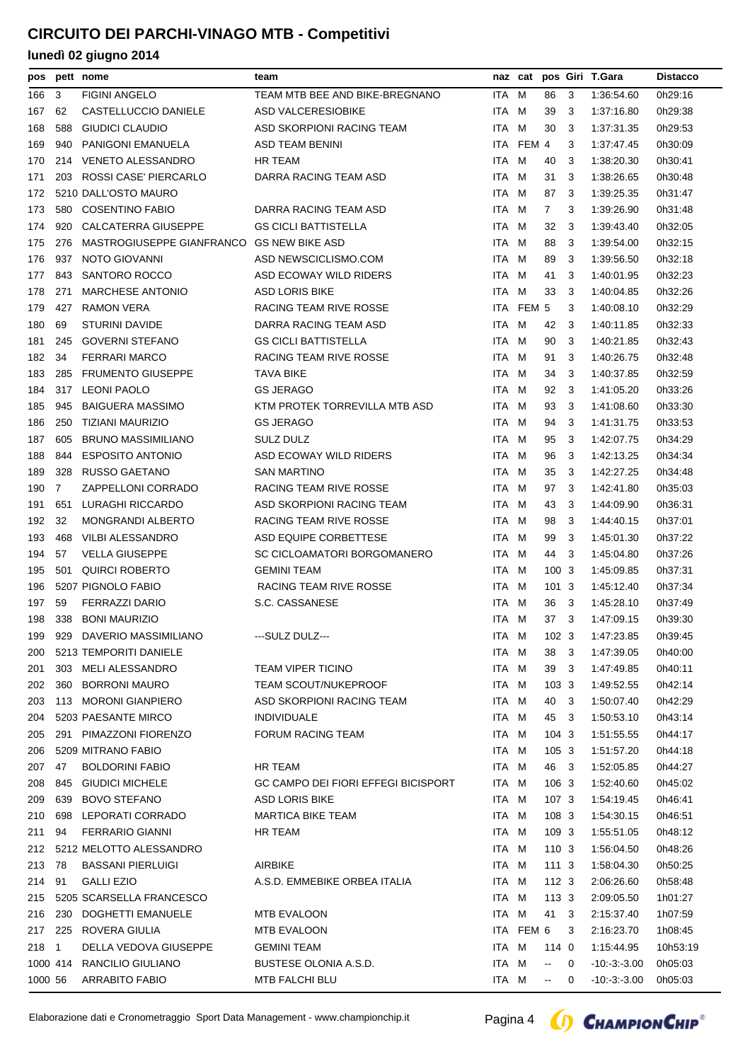| pos     |                | pett nome                                 | team                                       |       |           |                          |     | naz cat pos Giri T.Gara | <b>Distacco</b> |
|---------|----------------|-------------------------------------------|--------------------------------------------|-------|-----------|--------------------------|-----|-------------------------|-----------------|
| 166     | 3              | <b>FIGINI ANGELO</b>                      | TEAM MTB BEE AND BIKE-BREGNANO             | ITA M |           | 86                       | 3   | 1:36:54.60              | 0h29:16         |
| 167     | 62             | CASTELLUCCIO DANIELE                      | ASD VALCERESIOBIKE                         | ITA M |           | 39                       | 3   | 1:37:16.80              | 0h29:38         |
| 168     | 588            | GIUDICI CLAUDIO                           | ASD SKORPIONI RACING TEAM                  | ITA M |           | 30                       | 3   | 1:37:31.35              | 0h29:53         |
| 169     | 940            | <b>PANIGONI EMANUELA</b>                  | ASD TEAM BENINI                            |       | ITA FEM 4 |                          | 3   | 1:37:47.45              | 0h30:09         |
| 170     | 214            | <b>VENETO ALESSANDRO</b>                  | HR TEAM                                    | ITA M |           | 40                       | 3   | 1:38:20.30              | 0h30:41         |
| 171     | 203            | ROSSI CASE' PIERCARLO                     | DARRA RACING TEAM ASD                      | ITA M |           | 31                       | 3   | 1:38:26.65              | 0h30:48         |
| 172     |                | 5210 DALL'OSTO MAURO                      |                                            | ITA M |           | 87                       | 3   | 1:39:25.35              | 0h31:47         |
| 173     | 580            | <b>COSENTINO FABIO</b>                    | DARRA RACING TEAM ASD                      | ITA M |           | $\overline{7}$           | 3   | 1:39:26.90              | 0h31:48         |
| 174     | 920            | CALCATERRA GIUSEPPE                       | <b>GS CICLI BATTISTELLA</b>                | ITA M |           | 32                       | 3   | 1:39:43.40              | 0h32:05         |
| 175     | 276            | MASTROGIUSEPPE GIANFRANCO GS NEW BIKE ASD |                                            | ITA M |           | 88                       | 3   | 1:39:54.00              | 0h32:15         |
| 176     | 937            | NOTO GIOVANNI                             | ASD NEWSCICLISMO.COM                       | ITA M |           | 89                       | 3   | 1:39:56.50              | 0h32:18         |
| 177     | 843            | <b>SANTORO ROCCO</b>                      | ASD ECOWAY WILD RIDERS                     | ITA M |           | 41                       | 3   | 1:40:01.95              | 0h32:23         |
| 178     | 271            | <b>MARCHESE ANTONIO</b>                   | <b>ASD LORIS BIKE</b>                      | ITA M |           | 33                       | 3   | 1:40:04.85              | 0h32:26         |
| 179     | 427            | <b>RAMON VERA</b>                         | RACING TEAM RIVE ROSSE                     |       | ITA FEM 5 |                          | 3   | 1:40:08.10              | 0h32:29         |
| 180     | 69             | <b>STURINI DAVIDE</b>                     | DARRA RACING TEAM ASD                      | ITA M |           | 42                       | 3   | 1:40:11.85              | 0h32:33         |
| 181     | 245            | <b>GOVERNI STEFANO</b>                    | <b>GS CICLI BATTISTELLA</b>                | ITA M |           | 90                       | 3   | 1:40:21.85              | 0h32:43         |
| 182     | 34             | <b>FERRARI MARCO</b>                      | RACING TEAM RIVE ROSSE                     | ITA M |           | 91                       | 3   | 1:40:26.75              | 0h32:48         |
| 183     | 285            | <b>FRUMENTO GIUSEPPE</b>                  | <b>TAVA BIKE</b>                           | ITA M |           | 34                       | 3   | 1:40:37.85              | 0h32:59         |
| 184     | 317            | <b>LEONI PAOLO</b>                        | <b>GS JERAGO</b>                           | ITA M |           | 92                       | 3   | 1:41:05.20              | 0h33:26         |
| 185     | 945            | <b>BAIGUERA MASSIMO</b>                   | KTM PROTEK TORREVILLA MTB ASD              | ITA.  | M         | 93                       | 3   | 1:41:08.60              | 0h33:30         |
| 186     | 250            | TIZIANI MAURIZIO                          | <b>GS JERAGO</b>                           | ITA M |           | 94                       | 3   | 1:41:31.75              | 0h33:53         |
| 187     | 605            | <b>BRUNO MASSIMILIANO</b>                 | SULZ DULZ                                  | ITA M |           | 95                       | 3   | 1:42:07.75              | 0h34:29         |
| 188     | 844            | <b>ESPOSITO ANTONIO</b>                   | ASD ECOWAY WILD RIDERS                     | ITA M |           | 96                       | 3   | 1:42:13.25              | 0h34:34         |
| 189     | 328            | RUSSO GAETANO                             | <b>SAN MARTINO</b>                         | ITA M |           | 35                       | 3   | 1:42:27.25              | 0h34:48         |
| 190     | $\overline{7}$ | ZAPPELLONI CORRADO                        | RACING TEAM RIVE ROSSE                     | ITA M |           | 97                       | 3   | 1:42:41.80              | 0h35:03         |
| 191     | 651            | LURAGHI RICCARDO                          | ASD SKORPIONI RACING TEAM                  | ITA   | M         | 43                       | 3   | 1:44:09.90              | 0h36:31         |
| 192     | 32             | <b>MONGRANDI ALBERTO</b>                  | RACING TEAM RIVE ROSSE                     | ITA M |           | 98                       | 3   | 1:44:40.15              | 0h37:01         |
| 193     | 468            | VILBI ALESSANDRO                          | ASD EQUIPE CORBETTESE                      | ITA M |           | 99                       | 3   | 1:45:01.30              | 0h37:22         |
| 194     | 57             | <b>VELLA GIUSEPPE</b>                     | SC CICLOAMATORI BORGOMANERO                | ITA M |           | 44                       | 3   | 1:45:04.80              | 0h37:26         |
| 195     | 501            | <b>QUIRCI ROBERTO</b>                     | GEMINI TEAM                                | ITA M |           | 1003                     |     | 1:45:09.85              | 0h37:31         |
| 196     |                | 5207 PIGNOLO FABIO                        | RACING TEAM RIVE ROSSE                     | ITA M |           | 101 3                    |     | 1:45:12.40              | 0h37:34         |
| 197     | 59             | <b>FERRAZZI DARIO</b>                     | S.C. CASSANESE                             | ITA   | M         | 36                       | - 3 | 1:45:28.10              | 0h37:49         |
| 198     |                | 338 BONI MAURIZIO                         |                                            | ITA M |           | 37 3                     |     | 1:47:09.15              | 0h39:30         |
| 199     |                | 929 DAVERIO MASSIMILIANO                  | ---SULZ DULZ---                            | ITA M |           |                          |     | 102 3 1:47:23.85        | 0h39:45         |
| 200     |                | 5213 TEMPORITI DANIELE                    |                                            | ITA M |           | 38                       | 3   | 1:47:39.05              | 0h40:00         |
| 201     | 303            | MELI ALESSANDRO                           | <b>TEAM VIPER TICINO</b>                   | ITA M |           | 39                       | - 3 | 1:47:49.85              | 0h40:11         |
| 202     | 360            | <b>BORRONI MAURO</b>                      | <b>TEAM SCOUT/NUKEPROOF</b>                | ITA M |           | 1033                     |     | 1:49:52.55              | 0h42:14         |
| 203     | 113            | <b>MORONI GIANPIERO</b>                   | ASD SKORPIONI RACING TEAM                  | ITA M |           | 40                       | - 3 | 1:50:07.40              | 0h42:29         |
| 204     |                | 5203 PAESANTE MIRCO                       | <b>INDIVIDUALE</b>                         | ITA M |           | 45 3                     |     | 1.50.53.10              | 0h43:14         |
| 205     |                | 291 PIMAZZONI FIORENZO                    | FORUM RACING TEAM                          | ITA M |           | 104 3                    |     | 1:51:55.55              | 0h44:17         |
| 206     |                | 5209 MITRANO FABIO                        |                                            | ITA M |           | 105 3                    |     | 1:51:57.20              | 0h44:18         |
| 207     | 47             | <b>BOLDORINI FABIO</b>                    | HR TEAM                                    | ITA M |           | 46 3                     |     | 1:52:05.85              | 0h44:27         |
| 208     | 845            | <b>GIUDICI MICHELE</b>                    | <b>GC CAMPO DEI FIORI EFFEGI BICISPORT</b> | ITA M |           | 106 3                    |     | 1:52:40.60              | 0h45:02         |
| 209     | 639            | <b>BOVO STEFANO</b>                       | <b>ASD LORIS BIKE</b>                      | ITA M |           | 107 3                    |     | 1:54:19.45              | 0h46:41         |
| 210     | 698            | LEPORATI CORRADO                          | <b>MARTICA BIKE TEAM</b>                   | ITA M |           | 108 3                    |     | 1:54:30.15              | 0h46:51         |
| 211     | 94             | <b>FERRARIO GIANNI</b>                    | HR TEAM                                    | ITA M |           | 109 3                    |     | 1.55.51.05              | 0h48:12         |
| 212     |                | 5212 MELOTTO ALESSANDRO                   |                                            | ITA M |           | 110 3                    |     | 1:56:04.50              | 0h48:26         |
| 213     | 78             | <b>BASSANI PIERLUIGI</b>                  | <b>AIRBIKE</b>                             | ITA M |           | 111 3                    |     | 1:58:04.30              | 0h50:25         |
| 214     | 91             | <b>GALLI EZIO</b>                         | A.S.D. EMMEBIKE ORBEA ITALIA               | ITA M |           | 112 3                    |     | 2:06:26.60              | 0h58:48         |
| 215     |                | 5205 SCARSELLA FRANCESCO                  |                                            | ITA M |           | 113 3                    |     | 2:09:05.50              | 1h01:27         |
| 216     | 230            | DOGHETTI EMANUELE                         | MTB EVALOON                                | ITA M |           | 41 3                     |     | 2:15:37.40              | 1h07:59         |
| 217     | 225            | ROVERA GIULIA                             | <b>MTB EVALOON</b>                         |       | ITA FEM 6 |                          | 3   | 2:16:23.70              | 1h08:45         |
| 218     | $\overline{1}$ | DELLA VEDOVA GIUSEPPE                     | <b>GEMINI TEAM</b>                         | ITA M |           | 114 0                    |     | 1:15:44.95              | 10h53:19        |
|         | 1000 414       | RANCILIO GIULIANO                         | BUSTESE OLONIA A.S.D.                      | ITA M |           | $\overline{\phantom{a}}$ | 0   | $-10:3:3.00$            | 0h05:03         |
| 1000 56 |                | ARRABITO FABIO                            | MTB FALCHI BLU                             | ITA M |           | $\sim$                   | 0   | $-10 - 3 - 3.00$        | 0h05:03         |

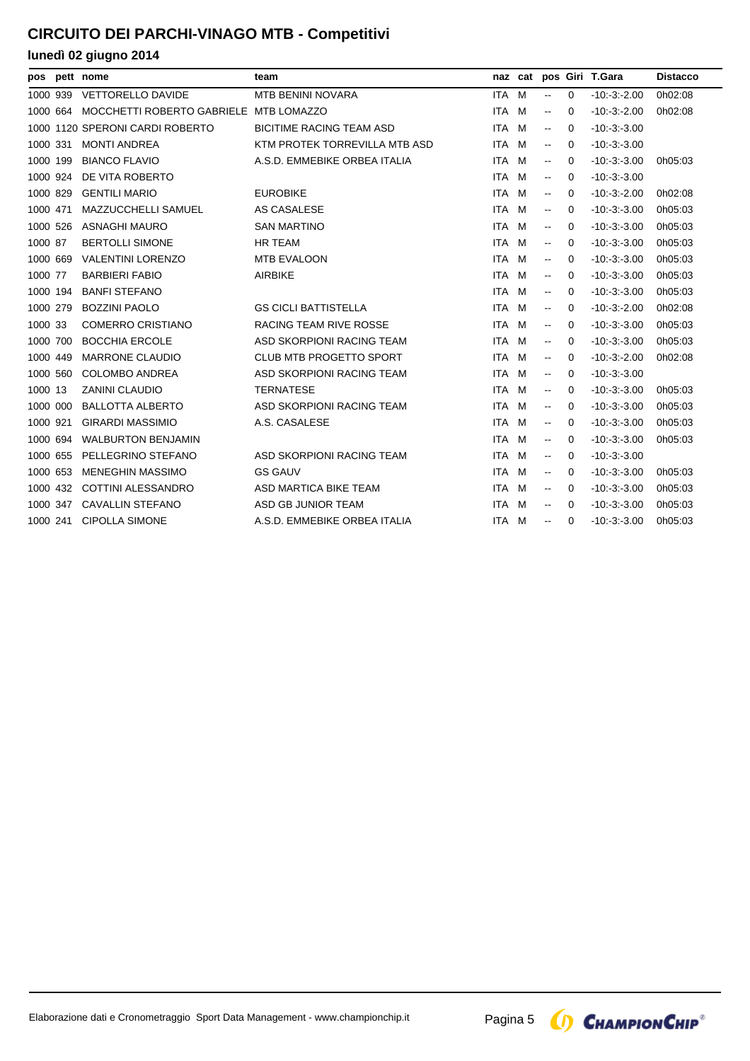| pos      | pett nome                              | team                            |            |   |                                               |             | naz cat pos Giri T.Gara | <b>Distacco</b> |
|----------|----------------------------------------|---------------------------------|------------|---|-----------------------------------------------|-------------|-------------------------|-----------------|
| 1000 939 | <b>VETTORELLO DAVIDE</b>               | <b>MTB BENINI NOVARA</b>        | <b>ITA</b> | M | $\overline{\phantom{a}}$                      | $\mathbf 0$ | $-10 - 3 - 2.00$        | 0h02:08         |
| 1000 664 | MOCCHETTI ROBERTO GABRIELE MTB LOMAZZO |                                 | <b>ITA</b> | M | $\overline{\phantom{a}}$                      | 0           | $-10 - 3 - 2.00$        | 0h02:08         |
|          | 1000 1120 SPERONI CARDI ROBERTO        | <b>BICITIME RACING TEAM ASD</b> | <b>ITA</b> | M | $\sim$                                        | $\Omega$    | $-10 - 3 - 3.00$        |                 |
| 1000 331 | <b>MONTI ANDREA</b>                    | KTM PROTEK TORREVILLA MTB ASD   | <b>ITA</b> | M | $\mathbf{u}$                                  | 0           | $-10:-3:-3.00$          |                 |
| 1000 199 | <b>BIANCO FLAVIO</b>                   | A.S.D. EMMEBIKE ORBEA ITALIA    | <b>ITA</b> | M | $\sim$                                        | 0           | $-10 - 3 - 3.00$        | 0h05:03         |
| 1000 924 | DE VITA ROBERTO                        |                                 | <b>ITA</b> | M | $\mathord{\hspace{1pt}\text{--}\hspace{1pt}}$ | 0           | $-10:-3:-3.00$          |                 |
| 1000 829 | <b>GENTILI MARIO</b>                   | <b>EUROBIKE</b>                 | <b>ITA</b> | M | $\mathbf{u}$                                  | 0           | $-10 - 3 - 2.00$        | 0h02:08         |
| 1000 471 | <b>MAZZUCCHELLI SAMUEL</b>             | AS CASALESE                     | <b>ITA</b> | M | $\mathord{\hspace{1pt}\text{--}\hspace{1pt}}$ | 0           | $-10 - 3 - 3.00$        | 0h05:03         |
| 1000 526 | <b>ASNAGHI MAURO</b>                   | <b>SAN MARTINO</b>              | <b>ITA</b> | M | $\mathord{\hspace{1pt}\text{--}\hspace{1pt}}$ | 0           | $-10 - 3 - 3.00$        | 0h05:03         |
| 1000 87  | <b>BERTOLLI SIMONE</b>                 | HR TEAM                         | ITA.       | M | $\mathord{\hspace{1pt}\text{--}\hspace{1pt}}$ | 0           | $-10 - 3 - 3.00$        | 0h05:03         |
| 1000 669 | <b>VALENTINI LORENZO</b>               | <b>MTB EVALOON</b>              | <b>ITA</b> | M | $\mathord{\hspace{1pt}\text{--}\hspace{1pt}}$ | $\Omega$    | $-10 - 3 - 3.00$        | 0h05:03         |
| 1000 77  | <b>BARBIERI FABIO</b>                  | <b>AIRBIKE</b>                  | <b>ITA</b> | M | $\overline{\phantom{a}}$                      | $\Omega$    | $-10 - 3 - 3.00$        | 0h05:03         |
| 1000 194 | <b>BANFI STEFANO</b>                   |                                 | <b>ITA</b> | M | $\mathord{\hspace{1pt}\text{--}\hspace{1pt}}$ | 0           | $-10: -3: -3.00$        | 0h05:03         |
| 1000 279 | <b>BOZZINI PAOLO</b>                   | <b>GS CICLI BATTISTELLA</b>     | <b>ITA</b> | M | $\overline{\phantom{a}}$                      | 0           | $-10 - 3 - 2.00$        | 0h02:08         |
| 1000 33  | <b>COMERRO CRISTIANO</b>               | <b>RACING TEAM RIVE ROSSE</b>   | <b>ITA</b> | M | $\overline{\phantom{a}}$                      | 0           | $-10 - 3 - 3.00$        | 0h05:03         |
| 1000 700 | <b>BOCCHIA ERCOLE</b>                  | ASD SKORPIONI RACING TEAM       | ITA.       | M | $\mathord{\hspace{1pt}\text{--}\hspace{1pt}}$ | 0           | $-10:-3:-3.00$          | 0h05:03         |
| 1000 449 | <b>MARRONE CLAUDIO</b>                 | <b>CLUB MTB PROGETTO SPORT</b>  | <b>ITA</b> | M | $\overline{\phantom{a}}$                      | 0           | $-10 - 3 - 2.00$        | 0h02:08         |
| 1000 560 | <b>COLOMBO ANDREA</b>                  | ASD SKORPIONI RACING TEAM       | <b>ITA</b> | M | $\mathbf{u}$                                  | 0           | $-10 - 3 - 3.00$        |                 |
| 1000 13  | <b>ZANINI CLAUDIO</b>                  | <b>TERNATESE</b>                | ITA.       | M | $\sim$                                        | 0           | $-10:3:3.00$            | 0h05:03         |
| 1000 000 | <b>BALLOTTA ALBERTO</b>                | ASD SKORPIONI RACING TEAM       | <b>ITA</b> | M | $\mathbf{u}$                                  | 0           | $-10 - 3 - 3.00$        | 0h05:03         |
| 1000 921 | <b>GIRARDI MASSIMIO</b>                | A.S. CASALESE                   | <b>ITA</b> | M | $\overline{\phantom{a}}$                      | 0           | $-10:3:3.00$            | 0h05:03         |
| 1000 694 | <b>WALBURTON BENJAMIN</b>              |                                 | <b>ITA</b> | M | $\overline{\phantom{a}}$                      | 0           | $-10 - 3 - 3.00$        | 0h05:03         |
| 1000 655 | PELLEGRINO STEFANO                     | ASD SKORPIONI RACING TEAM       | <b>ITA</b> | M | $\mathbf{u}$                                  | $\Omega$    | $-10:-3:-3.00$          |                 |
| 1000 653 | <b>MENEGHIN MASSIMO</b>                | <b>GS GAUV</b>                  | <b>ITA</b> | M | $\overline{\phantom{a}}$                      | 0           | $-10 - 3 - 3.00$        | 0h05:03         |
| 1000 432 | <b>COTTINI ALESSANDRO</b>              | ASD MARTICA BIKE TEAM           | ITA        | M | $\overline{\phantom{a}}$                      | 0           | $-10:3:3.00$            | 0h05:03         |
| 1000 347 | <b>CAVALLIN STEFANO</b>                | ASD GB JUNIOR TEAM              | <b>ITA</b> | M | $\overline{\phantom{a}}$                      | 0           | $-10 - 3 - 3.00$        | 0h05:03         |
| 1000 241 | <b>CIPOLLA SIMONE</b>                  | A.S.D. EMMEBIKE ORBEA ITALIA    | ITA.       | M | $\mathord{\hspace{1pt}\text{--}\hspace{1pt}}$ | $\Omega$    | $-10:-3:-3.00$          | 0h05:03         |

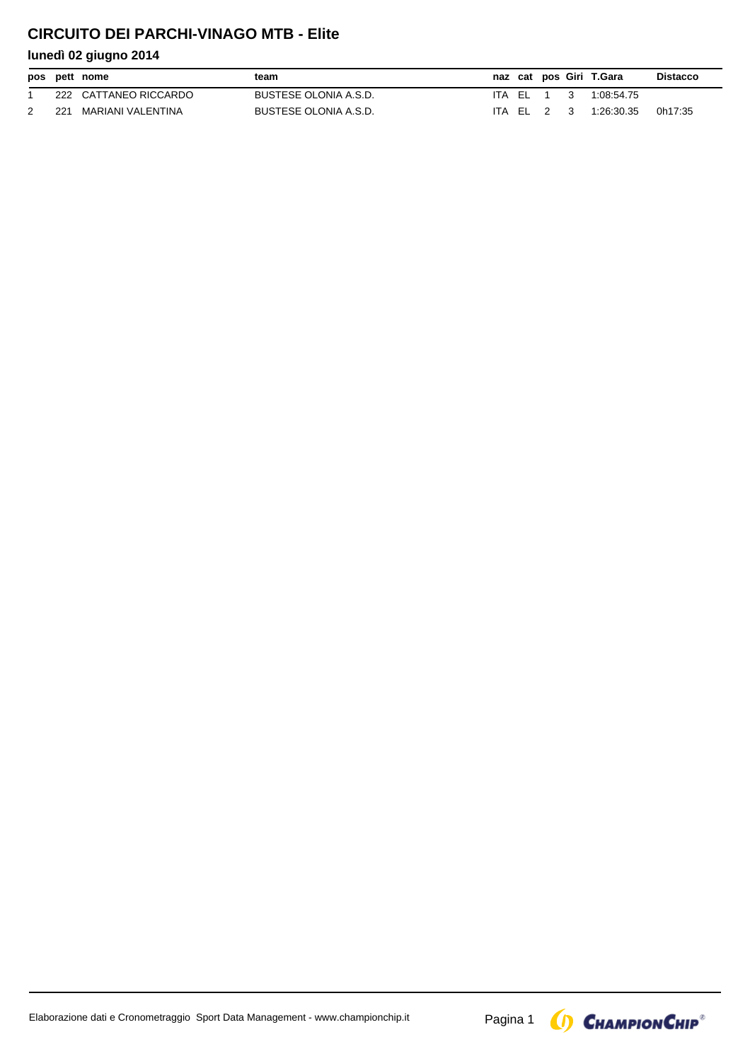## **CIRCUITO DEI PARCHI-VINAGO MTB - Elite**

|     | pos pett nome         | team                  |            |  |              | naz cat pos Giri T.Gara | <b>Distacco</b> |
|-----|-----------------------|-----------------------|------------|--|--------------|-------------------------|-----------------|
|     | 222 CATTANEO RICCARDO | BUSTESE OLONIA A.S.D. | ITA FI 1   |  | $\mathbf{3}$ | 1:08:54.75              |                 |
| 221 | MARIANI VALENTINA     | BUSTESE OLONIA A.S.D. | ITA EL 2 3 |  |              | 1:26:30.35              | 0h17:35         |

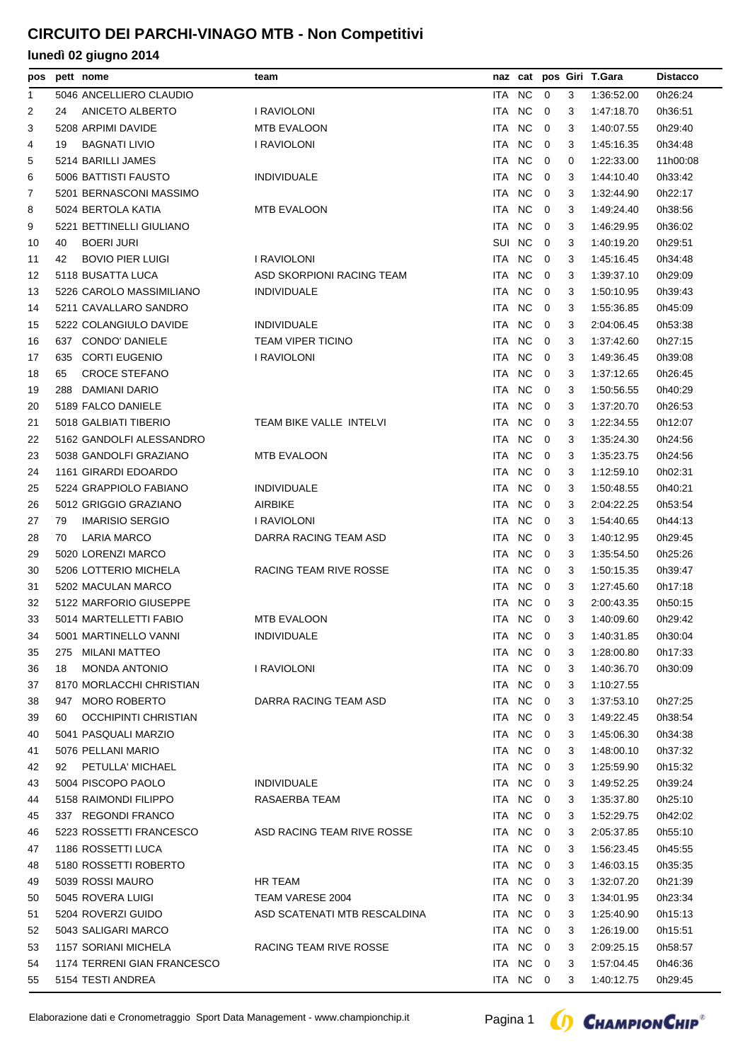| pos |     | pett nome                   | team                         |            | naz cat        |                         |                | pos Giri T.Gara | <b>Distacco</b> |
|-----|-----|-----------------------------|------------------------------|------------|----------------|-------------------------|----------------|-----------------|-----------------|
| 1   |     | 5046 ANCELLIERO CLAUDIO     |                              | ITA NC     |                | $\overline{0}$          | 3              | 1:36:52.00      | 0h26:24         |
| 2   | 24  | ANICETO ALBERTO             | <b>I RAVIOLONI</b>           | ITA NC     |                | $\overline{0}$          | 3              | 1:47:18.70      | 0h36:51         |
| 3   |     | 5208 ARPIMI DAVIDE          | <b>MTB EVALOON</b>           | ITA.       | <b>NC</b>      | $\overline{0}$          | 3              | 1:40:07.55      | 0h29:40         |
| 4   | 19  | <b>BAGNATI LIVIO</b>        | I RAVIOLONI                  | ITA        | N <sub>C</sub> | $\overline{0}$          | 3              | 1:45:16.35      | 0h34:48         |
| 5   |     | 5214 BARILLI JAMES          |                              | ITA NC     |                | $\overline{0}$          | 0              | 1:22:33.00      | 11h00:08        |
| 6   |     | 5006 BATTISTI FAUSTO        | <b>INDIVIDUALE</b>           | ITA.       | <b>NC</b>      | $\mathbf 0$             | 3              | 1:44:10.40      | 0h33:42         |
| 7   |     | 5201 BERNASCONI MASSIMO     |                              | ITA NC     |                | $\overline{0}$          | 3              | 1:32:44.90      | 0h22:17         |
| 8   |     | 5024 BERTOLA KATIA          | <b>MTB EVALOON</b>           | ITA        | <b>NC</b>      | $\overline{0}$          | 3              | 1:49:24.40      | 0h38:56         |
| 9   |     | 5221 BETTINELLI GIULIANO    |                              | <b>ITA</b> | <b>NC</b>      | $\mathbf 0$             | 3              | 1:46:29.95      | 0h36:02         |
| 10  | 40  | <b>BOERI JURI</b>           |                              | SUI NC     |                | $\overline{0}$          | 3              | 1:40:19.20      | 0h29:51         |
| 11  | 42  | <b>BOVIO PIER LUIGI</b>     | I RAVIOLONI                  | ITA NC     |                | $\overline{0}$          | 3              | 1:45:16.45      | 0h34:48         |
| 12  |     | 5118 BUSATTA LUCA           | ASD SKORPIONI RACING TEAM    | ITA.       | <b>NC</b>      | $\mathbf 0$             | 3              | 1:39:37.10      | 0h29:09         |
| 13  |     | 5226 CAROLO MASSIMILIANO    | <b>INDIVIDUALE</b>           | ITA NC     |                | $\overline{0}$          | 3              | 1:50:10.95      | 0h39:43         |
| 14  |     | 5211 CAVALLARO SANDRO       |                              | ITA        | <b>NC</b>      | 0                       | 3              | 1:55:36.85      | 0h45:09         |
| 15  |     | 5222 COLANGIULO DAVIDE      | <b>INDIVIDUALE</b>           | <b>ITA</b> | <b>NC</b>      | $\mathbf 0$             | 3              | 2:04:06.45      | 0h53:38         |
|     |     | 637 CONDO' DANIELE          | <b>TEAM VIPER TICINO</b>     | ITA.       | <b>NC</b>      | $\overline{0}$          | 3              | 1:37:42.60      | 0h27:15         |
| 16  |     |                             |                              |            | <b>NC</b>      |                         |                |                 |                 |
| 17  | 635 | <b>CORTI EUGENIO</b>        | <b>I RAVIOLONI</b>           | ITA        |                | 0                       | 3              | 1:49:36.45      | 0h39:08         |
| 18  | 65  | <b>CROCE STEFANO</b>        |                              | ITA NC     |                | $\mathbf 0$             | 3              | 1:37:12.65      | 0h26:45         |
| 19  | 288 | DAMIANI DARIO               |                              | ITA NC     |                | $\overline{0}$          | 3              | 1:50:56.55      | 0h40:29         |
| 20  |     | 5189 FALCO DANIELE          |                              | ITA NC     |                | $\overline{0}$          | 3              | 1:37:20.70      | 0h26:53         |
| 21  |     | 5018 GALBIATI TIBERIO       | TEAM BIKE VALLE INTELVI      | ITA.       | <b>NC</b>      | $\mathbf 0$             | 3              | 1:22:34.55      | 0h12:07         |
| 22  |     | 5162 GANDOLFI ALESSANDRO    |                              | ITA NC     |                | $\overline{0}$          | 3              | 1:35:24.30      | 0h24:56         |
| 23  |     | 5038 GANDOLFI GRAZIANO      | <b>MTB EVALOON</b>           | ITA NC     |                | $\overline{0}$          | 3              | 1:35:23.75      | 0h24:56         |
| 24  |     | 1161 GIRARDI EDOARDO        |                              | ITA NC     |                | $\mathbf 0$             | 3              | 1:12:59.10      | 0h02:31         |
| 25  |     | 5224 GRAPPIOLO FABIANO      | <b>INDIVIDUALE</b>           | ITA NC     |                | $\overline{0}$          | 3              | 1:50:48.55      | 0h40:21         |
| 26  |     | 5012 GRIGGIO GRAZIANO       | <b>AIRBIKE</b>               | ITA NC     |                | 0                       | 3              | 2:04:22.25      | 0h53:54         |
| 27  | 79  | <b>IMARISIO SERGIO</b>      | I RAVIOLONI                  | ITA.       | <b>NC</b>      | 0                       | 3              | 1:54:40.65      | 0h44:13         |
| 28  | 70  | <b>LARIA MARCO</b>          | DARRA RACING TEAM ASD        | ITA NC     |                | $\overline{0}$          | 3              | 1:40:12.95      | 0h29:45         |
| 29  |     | 5020 LORENZI MARCO          |                              | ITA NC     |                | 0                       | 3              | 1:35:54.50      | 0h25:26         |
| 30  |     | 5206 LOTTERIO MICHELA       | RACING TEAM RIVE ROSSE       | ITA NC     |                | $\overline{0}$          | 3              | 1:50:15.35      | 0h39:47         |
| 31  |     | 5202 MACULAN MARCO          |                              | ITA NC     |                | $\overline{0}$          | 3              | 1:27:45.60      | 0h17:18         |
| 32  |     | 5122 MARFORIO GIUSEPPE      |                              | ITA NC     |                | $\overline{0}$          | 3              | 2:00:43.35      | 0h50:15         |
| 33  |     | 5014 MARTELLETTI FABIO      | <b>MTB EVALOON</b>           | ITA NC     |                | $\overline{0}$          | 3              | 1:40:09.60      | 0h29:42         |
| 34  |     | 5001 MARTINELLO VANNI       | <b>INDIVIDUALE</b>           |            | ITA NC 0       |                         | 3 <sup>1</sup> | 1:40:31.85      | 0h30:04         |
| 35  |     | 275 MILANI MATTEO           |                              | ITA NC     |                | $\overline{0}$          | 3              | 1:28:00.80      | 0h17:33         |
| 36  | 18  | <b>MONDA ANTONIO</b>        | I RAVIOLONI                  | ITA NC     |                | $\overline{\mathbf{0}}$ | 3              | 1:40:36.70      | 0h30:09         |
| 37  |     | 8170 MORLACCHI CHRISTIAN    |                              | ITA NC     |                | $\overline{\mathbf{0}}$ | 3              | 1:10:27.55      |                 |
| 38  | 947 | <b>MORO ROBERTO</b>         | DARRA RACING TEAM ASD        | ITA NC     |                | $\overline{\mathbf{0}}$ | 3              | 1:37:53.10      | 0h27:25         |
| 39  | 60  | <b>OCCHIPINTI CHRISTIAN</b> |                              | ITA NC     |                | $\overline{0}$          | 3              | 1:49:22.45      | 0h38:54         |
| 40  |     | 5041 PASQUALI MARZIO        |                              | ITA NC     |                | $\overline{\mathbf{0}}$ | 3              | 1:45:06.30      | 0h34:38         |
| 41  |     | 5076 PELLANI MARIO          |                              | ITA NC     |                | $\overline{\mathbf{0}}$ | 3              | 1:48:00.10      | 0h37:32         |
| 42  | 92  | PETULLA' MICHAEL            |                              | ITA NC     |                | $\overline{0}$          | 3              | 1:25:59.90      | 0h15:32         |
| 43  |     | 5004 PISCOPO PAOLO          | <b>INDIVIDUALE</b>           | ITA NC     |                | $\overline{\mathbf{0}}$ | 3              | 1:49:52.25      | 0h39:24         |
| 44  |     | 5158 RAIMONDI FILIPPO       | RASAERBA TEAM                | ITA NC     |                | $\overline{0}$          | 3              | 1:35:37.80      | 0h25:10         |
| 45  |     | 337 REGONDI FRANCO          |                              | ITA NC     |                | $\overline{0}$          | 3              | 1:52:29.75      | 0h42:02         |
| 46  |     | 5223 ROSSETTI FRANCESCO     | ASD RACING TEAM RIVE ROSSE   | ITA NC     |                | $\overline{\mathbf{0}}$ | 3              | 2:05:37.85      | 0h55:10         |
| 47  |     | 1186 ROSSETTI LUCA          |                              | ITA NC     |                | $\overline{0}$          | 3              | 1:56:23.45      | 0h45:55         |
| 48  |     | 5180 ROSSETTI ROBERTO       |                              | ITA NC     |                | $\overline{0}$          | 3              | 1:46:03.15      | 0h35:35         |
|     |     | 5039 ROSSI MAURO            | HR TEAM                      | ITA NC     |                | $\overline{\mathbf{0}}$ | 3              | 1:32:07.20      | 0h21:39         |
| 49  |     | 5045 ROVERA LUIGI           | TEAM VARESE 2004             | ITA NC     |                |                         |                |                 |                 |
| 50  |     |                             | ASD SCATENATI MTB RESCALDINA | ITA NC     |                | $\overline{0}$          | 3              | 1:34:01.95      | 0h23:34         |
| 51  |     | 5204 ROVERZI GUIDO          |                              |            |                | $\overline{0}$          | 3              | 1:25:40.90      | 0h15:13         |
| 52  |     | 5043 SALIGARI MARCO         |                              | ITA NC     |                | $\overline{\mathbf{0}}$ | 3              | 1:26:19.00      | 0h15:51         |
| 53  |     | 1157 SORIANI MICHELA        | RACING TEAM RIVE ROSSE       | ITA NC     |                | $\overline{0}$          | 3              | 2:09:25.15      | 0h58:57         |
| 54  |     | 1174 TERRENI GIAN FRANCESCO |                              | ITA NC     |                | $\overline{0}$          | 3              | 1:57:04.45      | 0h46:36         |
| 55  |     | 5154 TESTI ANDREA           |                              |            | ITA NC 0       |                         | 3              | 1:40:12.75      | 0h29:45         |